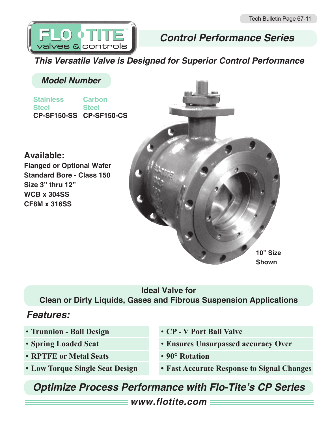

# *Control Performance Series*

*This Versatile Valve is Designed for Superior Control Performance*

## *Model Number*

**Stainless Steel CP-SF150-SS CP-SF150-CS Carbon Steel**

### **Available:**

**Flanged or Optional Wafer Standard Bore - Class 150 Size 3" thru 12" WCB x 304SS CF8M x 316SS**



## **Ideal Valve for Clean or Dirty Liquids, Gases and Fibrous Suspension Applications**

# *Features:*

- **Trunnion Ball Design**
- **Spring Loaded Seat**
- **RPTFE or Metal Seats**
- **• Low Torque Single Seat Design**
- **CP V Port Ball Valve**
- **Ensures Unsurpassed accuracy Over**
- **90° Rotation**
- **• Fast Accurate Response to Signal Changes**

# *Optimize Process Performance with Flo-Tite's CP Series*

*www.flotite.com*